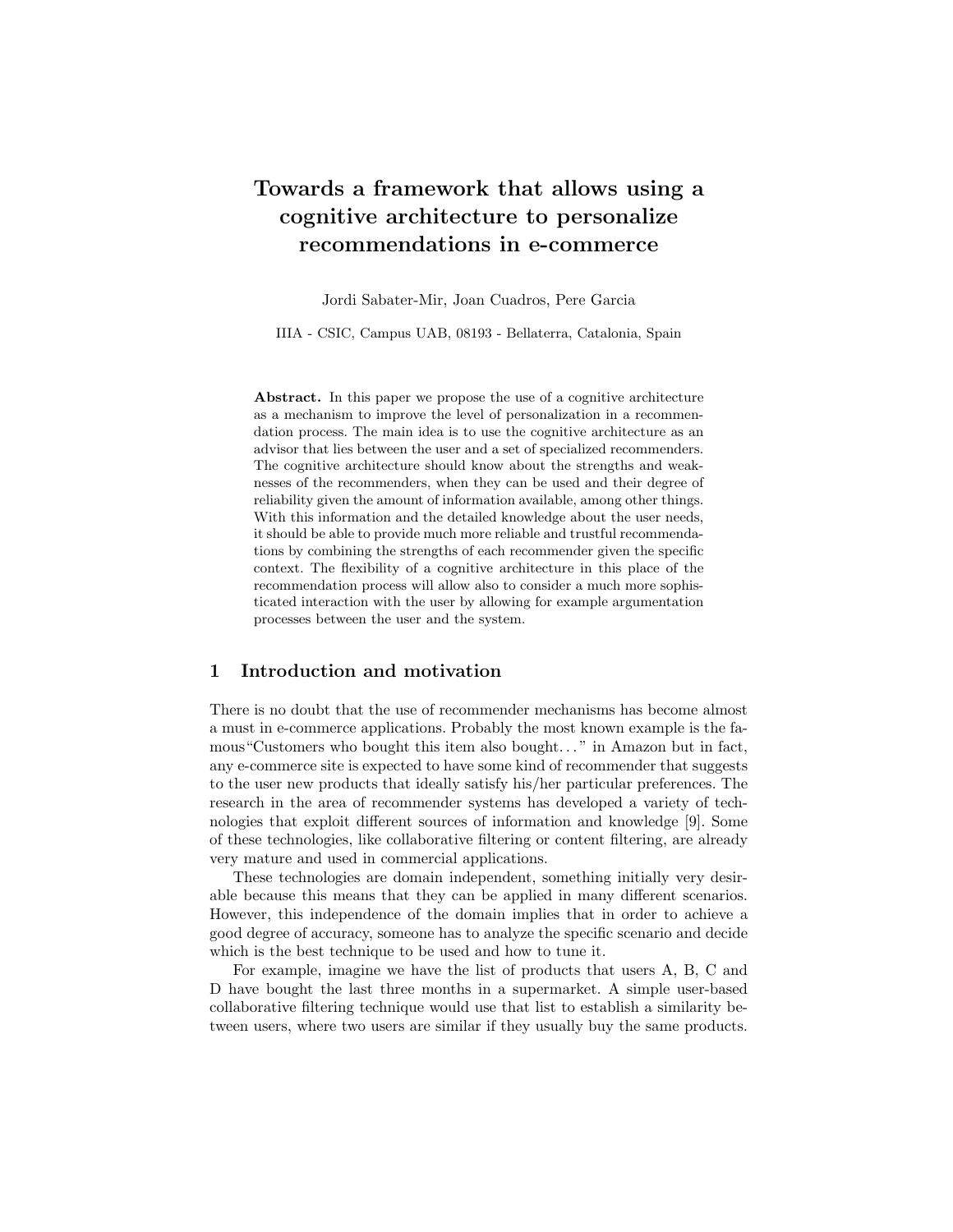# Towards a framework that allows using a cognitive architecture to personalize recommendations in e-commerce

Jordi Sabater-Mir, Joan Cuadros, Pere Garcia

IIIA - CSIC, Campus UAB, 08193 - Bellaterra, Catalonia, Spain

Abstract. In this paper we propose the use of a cognitive architecture as a mechanism to improve the level of personalization in a recommendation process. The main idea is to use the cognitive architecture as an advisor that lies between the user and a set of specialized recommenders. The cognitive architecture should know about the strengths and weaknesses of the recommenders, when they can be used and their degree of reliability given the amount of information available, among other things. With this information and the detailed knowledge about the user needs, it should be able to provide much more reliable and trustful recommendations by combining the strengths of each recommender given the specific context. The flexibility of a cognitive architecture in this place of the recommendation process will allow also to consider a much more sophisticated interaction with the user by allowing for example argumentation processes between the user and the system.

# 1 Introduction and motivation

There is no doubt that the use of recommender mechanisms has become almost a must in e-commerce applications. Probably the most known example is the famous"Customers who bought this item also bought. . . " in Amazon but in fact, any e-commerce site is expected to have some kind of recommender that suggests to the user new products that ideally satisfy his/her particular preferences. The research in the area of recommender systems has developed a variety of technologies that exploit different sources of information and knowledge [9]. Some of these technologies, like collaborative filtering or content filtering, are already very mature and used in commercial applications.

These technologies are domain independent, something initially very desirable because this means that they can be applied in many different scenarios. However, this independence of the domain implies that in order to achieve a good degree of accuracy, someone has to analyze the specific scenario and decide which is the best technique to be used and how to tune it.

For example, imagine we have the list of products that users A, B, C and D have bought the last three months in a supermarket. A simple user-based collaborative filtering technique would use that list to establish a similarity between users, where two users are similar if they usually buy the same products.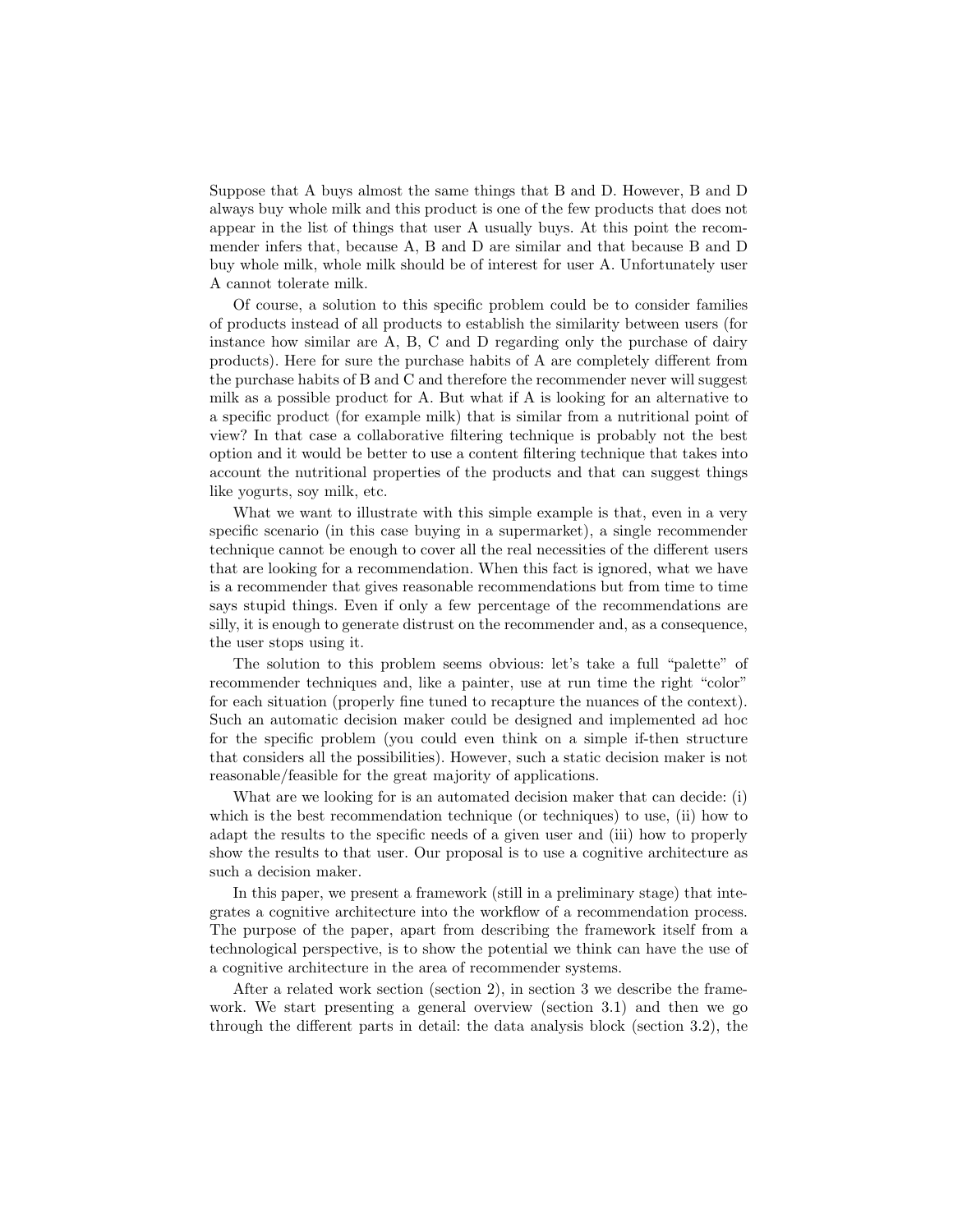Suppose that A buys almost the same things that B and D. However, B and D always buy whole milk and this product is one of the few products that does not appear in the list of things that user A usually buys. At this point the recommender infers that, because A, B and D are similar and that because B and D buy whole milk, whole milk should be of interest for user A. Unfortunately user A cannot tolerate milk.

Of course, a solution to this specific problem could be to consider families of products instead of all products to establish the similarity between users (for instance how similar are A, B, C and D regarding only the purchase of dairy products). Here for sure the purchase habits of A are completely different from the purchase habits of B and C and therefore the recommender never will suggest milk as a possible product for A. But what if A is looking for an alternative to a specific product (for example milk) that is similar from a nutritional point of view? In that case a collaborative filtering technique is probably not the best option and it would be better to use a content filtering technique that takes into account the nutritional properties of the products and that can suggest things like yogurts, soy milk, etc.

What we want to illustrate with this simple example is that, even in a very specific scenario (in this case buying in a supermarket), a single recommender technique cannot be enough to cover all the real necessities of the different users that are looking for a recommendation. When this fact is ignored, what we have is a recommender that gives reasonable recommendations but from time to time says stupid things. Even if only a few percentage of the recommendations are silly, it is enough to generate distrust on the recommender and, as a consequence, the user stops using it.

The solution to this problem seems obvious: let's take a full "palette" of recommender techniques and, like a painter, use at run time the right "color" for each situation (properly fine tuned to recapture the nuances of the context). Such an automatic decision maker could be designed and implemented ad hoc for the specific problem (you could even think on a simple if-then structure that considers all the possibilities). However, such a static decision maker is not reasonable/feasible for the great majority of applications.

What are we looking for is an automated decision maker that can decide: (i) which is the best recommendation technique (or techniques) to use, (ii) how to adapt the results to the specific needs of a given user and (iii) how to properly show the results to that user. Our proposal is to use a cognitive architecture as such a decision maker.

In this paper, we present a framework (still in a preliminary stage) that integrates a cognitive architecture into the workflow of a recommendation process. The purpose of the paper, apart from describing the framework itself from a technological perspective, is to show the potential we think can have the use of a cognitive architecture in the area of recommender systems.

After a related work section (section 2), in section 3 we describe the framework. We start presenting a general overview (section 3.1) and then we go through the different parts in detail: the data analysis block (section 3.2), the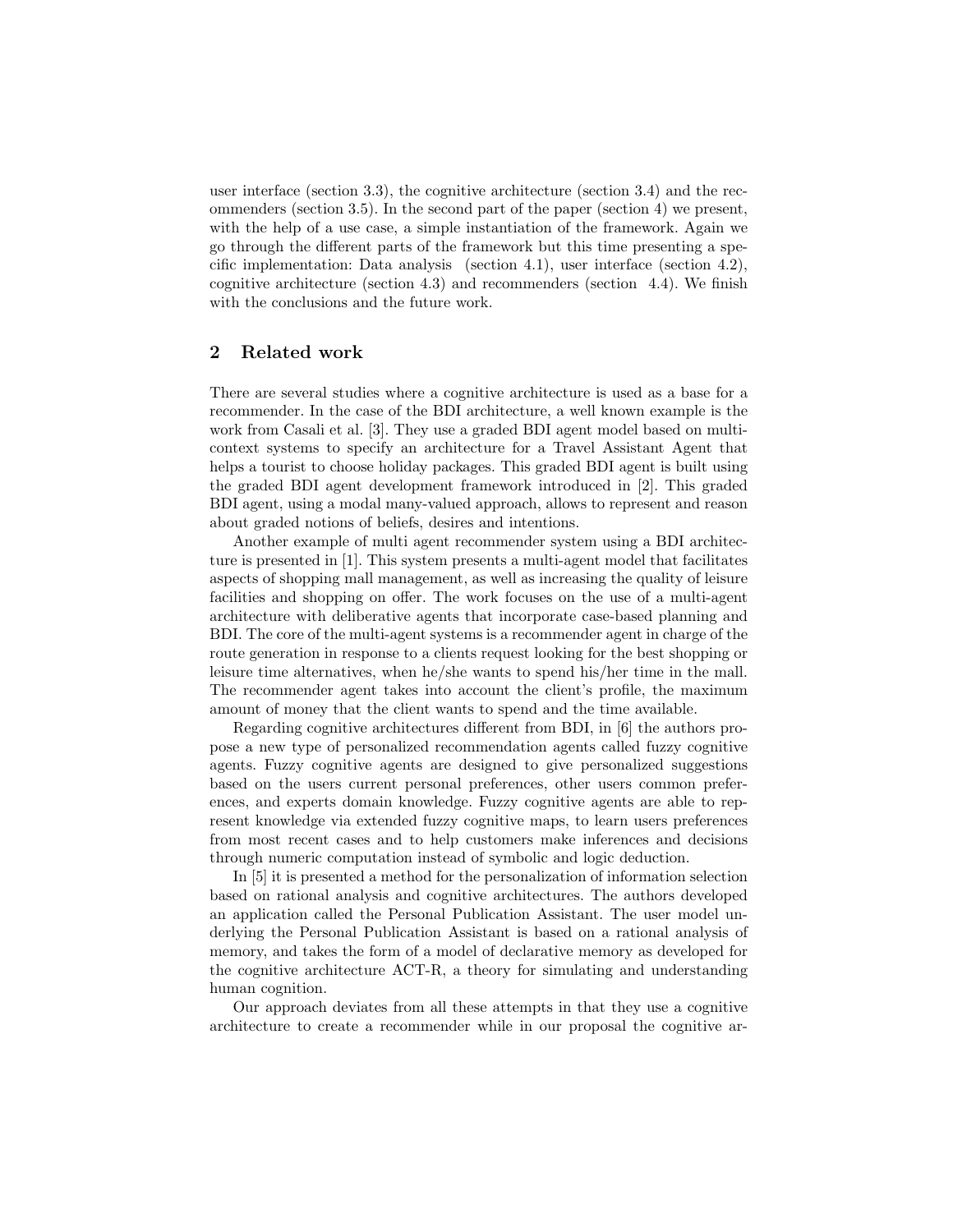user interface (section 3.3), the cognitive architecture (section 3.4) and the recommenders (section 3.5). In the second part of the paper (section 4) we present, with the help of a use case, a simple instantiation of the framework. Again we go through the different parts of the framework but this time presenting a specific implementation: Data analysis (section 4.1), user interface (section 4.2), cognitive architecture (section 4.3) and recommenders (section 4.4). We finish with the conclusions and the future work.

# 2 Related work

There are several studies where a cognitive architecture is used as a base for a recommender. In the case of the BDI architecture, a well known example is the work from Casali et al. [3]. They use a graded BDI agent model based on multicontext systems to specify an architecture for a Travel Assistant Agent that helps a tourist to choose holiday packages. This graded BDI agent is built using the graded BDI agent development framework introduced in [2]. This graded BDI agent, using a modal many-valued approach, allows to represent and reason about graded notions of beliefs, desires and intentions.

Another example of multi agent recommender system using a BDI architecture is presented in [1]. This system presents a multi-agent model that facilitates aspects of shopping mall management, as well as increasing the quality of leisure facilities and shopping on offer. The work focuses on the use of a multi-agent architecture with deliberative agents that incorporate case-based planning and BDI. The core of the multi-agent systems is a recommender agent in charge of the route generation in response to a clients request looking for the best shopping or leisure time alternatives, when he/she wants to spend his/her time in the mall. The recommender agent takes into account the client's profile, the maximum amount of money that the client wants to spend and the time available.

Regarding cognitive architectures different from BDI, in [6] the authors propose a new type of personalized recommendation agents called fuzzy cognitive agents. Fuzzy cognitive agents are designed to give personalized suggestions based on the users current personal preferences, other users common preferences, and experts domain knowledge. Fuzzy cognitive agents are able to represent knowledge via extended fuzzy cognitive maps, to learn users preferences from most recent cases and to help customers make inferences and decisions through numeric computation instead of symbolic and logic deduction.

In [5] it is presented a method for the personalization of information selection based on rational analysis and cognitive architectures. The authors developed an application called the Personal Publication Assistant. The user model underlying the Personal Publication Assistant is based on a rational analysis of memory, and takes the form of a model of declarative memory as developed for the cognitive architecture ACT-R, a theory for simulating and understanding human cognition.

Our approach deviates from all these attempts in that they use a cognitive architecture to create a recommender while in our proposal the cognitive ar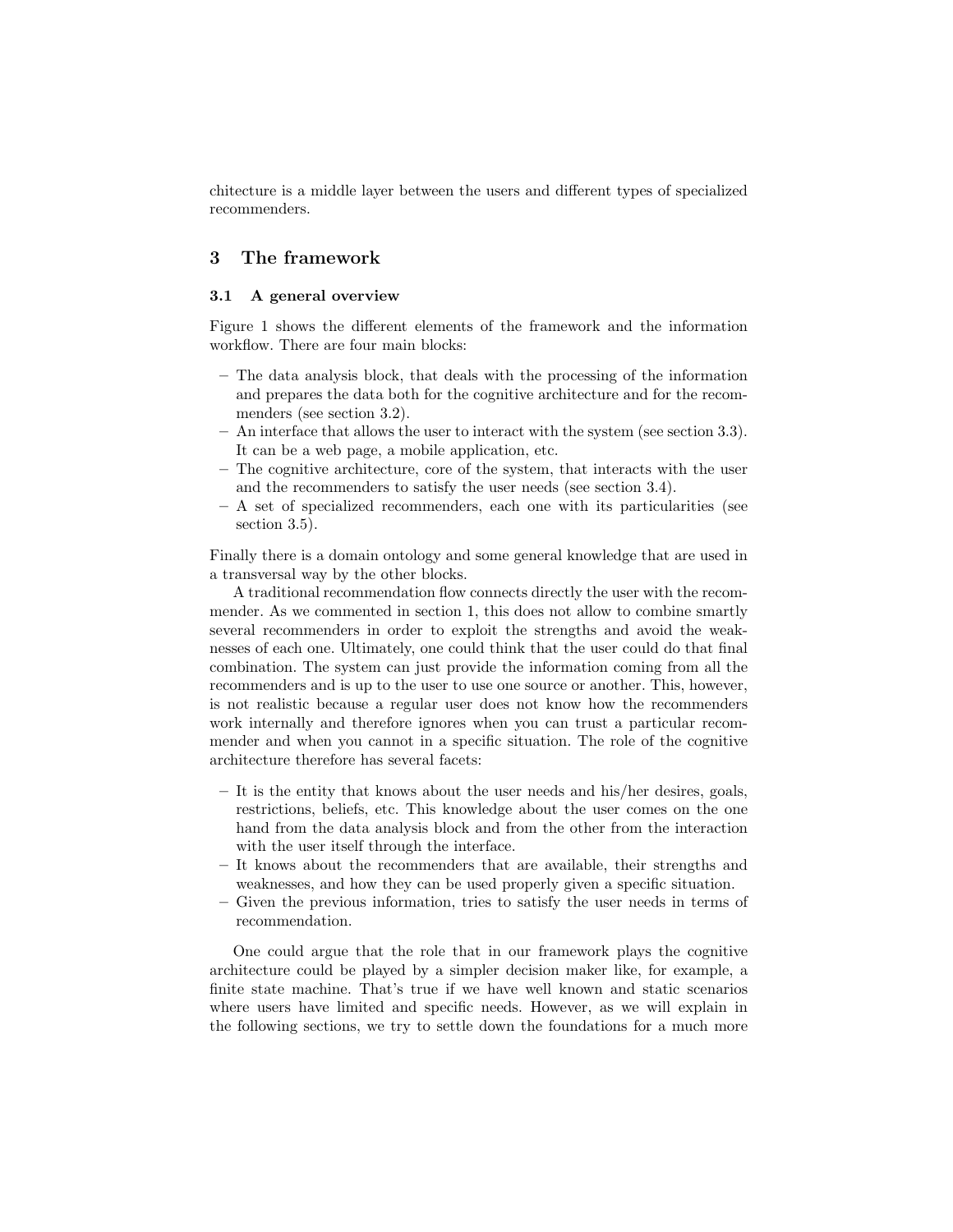chitecture is a middle layer between the users and different types of specialized recommenders.

# 3 The framework

## 3.1 A general overview

Figure 1 shows the different elements of the framework and the information workflow. There are four main blocks:

- The data analysis block, that deals with the processing of the information and prepares the data both for the cognitive architecture and for the recommenders (see section 3.2).
- An interface that allows the user to interact with the system (see section 3.3). It can be a web page, a mobile application, etc.
- The cognitive architecture, core of the system, that interacts with the user and the recommenders to satisfy the user needs (see section 3.4).
- A set of specialized recommenders, each one with its particularities (see section 3.5).

Finally there is a domain ontology and some general knowledge that are used in a transversal way by the other blocks.

A traditional recommendation flow connects directly the user with the recommender. As we commented in section 1, this does not allow to combine smartly several recommenders in order to exploit the strengths and avoid the weaknesses of each one. Ultimately, one could think that the user could do that final combination. The system can just provide the information coming from all the recommenders and is up to the user to use one source or another. This, however, is not realistic because a regular user does not know how the recommenders work internally and therefore ignores when you can trust a particular recommender and when you cannot in a specific situation. The role of the cognitive architecture therefore has several facets:

- It is the entity that knows about the user needs and his/her desires, goals, restrictions, beliefs, etc. This knowledge about the user comes on the one hand from the data analysis block and from the other from the interaction with the user itself through the interface.
- It knows about the recommenders that are available, their strengths and weaknesses, and how they can be used properly given a specific situation.
- Given the previous information, tries to satisfy the user needs in terms of recommendation.

One could argue that the role that in our framework plays the cognitive architecture could be played by a simpler decision maker like, for example, a finite state machine. That's true if we have well known and static scenarios where users have limited and specific needs. However, as we will explain in the following sections, we try to settle down the foundations for a much more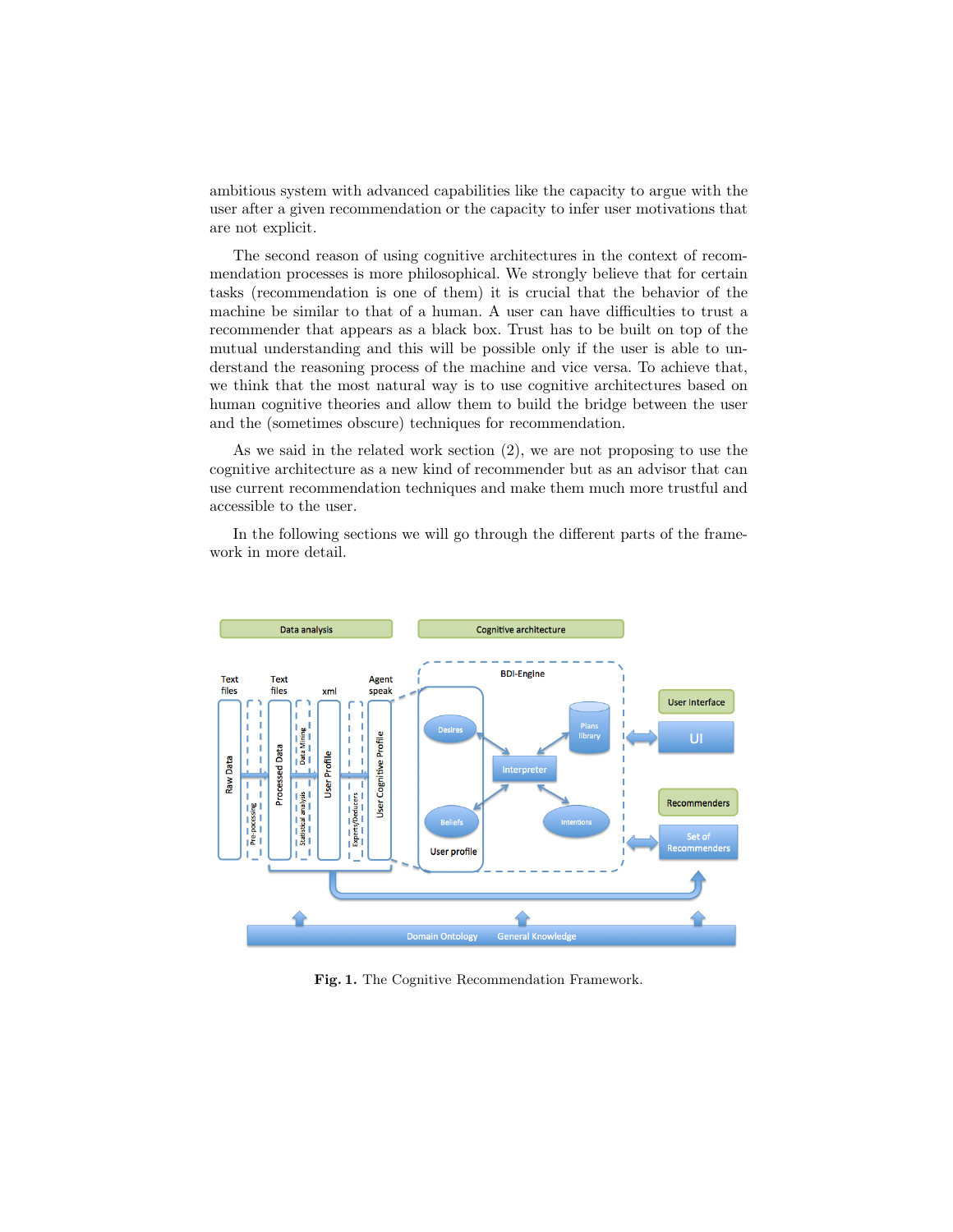ambitious system with advanced capabilities like the capacity to argue with the user after a given recommendation or the capacity to infer user motivations that are not explicit.

The second reason of using cognitive architectures in the context of recommendation processes is more philosophical. We strongly believe that for certain tasks (recommendation is one of them) it is crucial that the behavior of the machine be similar to that of a human. A user can have difficulties to trust a recommender that appears as a black box. Trust has to be built on top of the mutual understanding and this will be possible only if the user is able to understand the reasoning process of the machine and vice versa. To achieve that, we think that the most natural way is to use cognitive architectures based on human cognitive theories and allow them to build the bridge between the user and the (sometimes obscure) techniques for recommendation.

As we said in the related work section (2), we are not proposing to use the cognitive architecture as a new kind of recommender but as an advisor that can use current recommendation techniques and make them much more trustful and accessible to the user.

In the following sections we will go through the different parts of the framework in more detail.



Fig. 1. The Cognitive Recommendation Framework.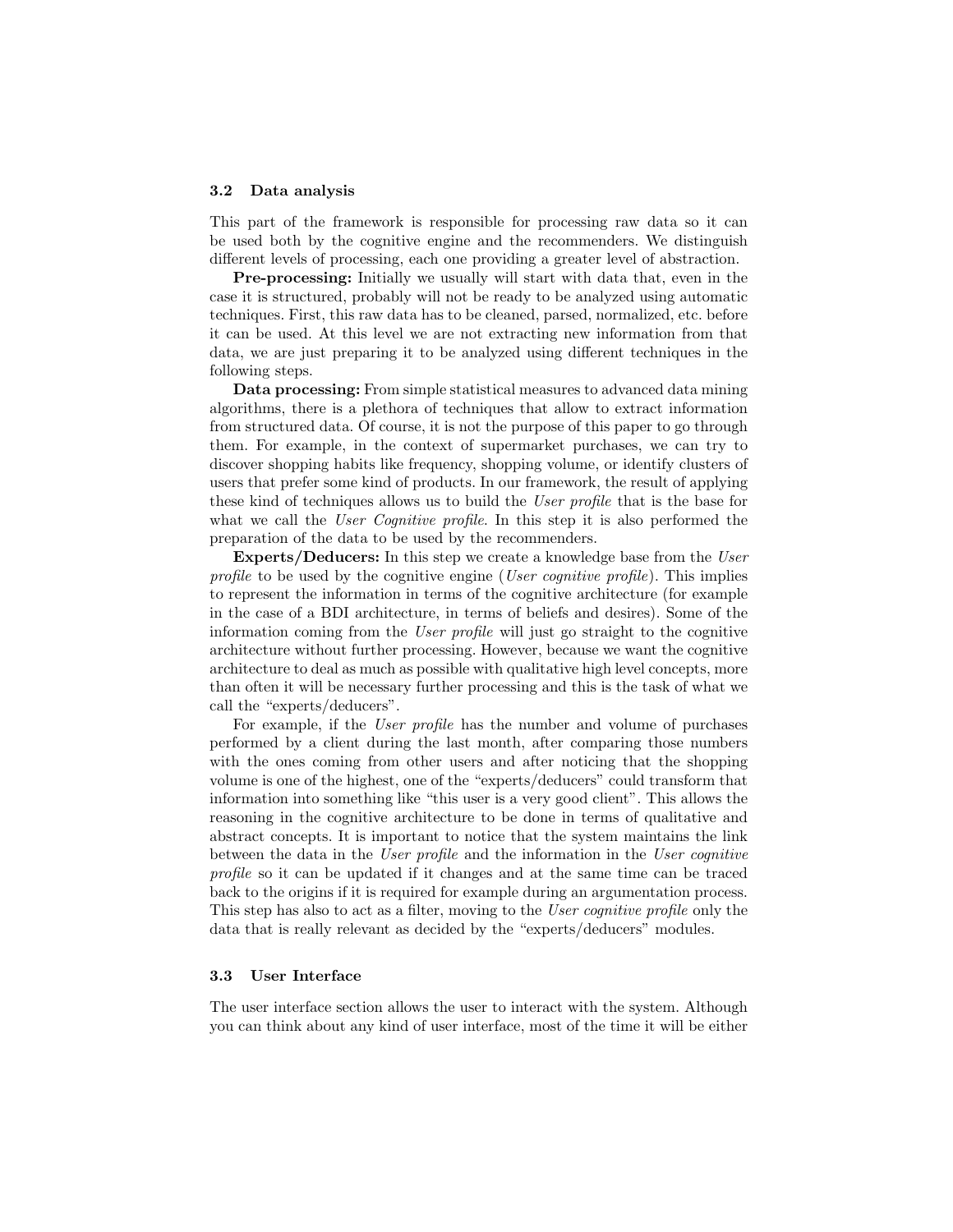### 3.2 Data analysis

This part of the framework is responsible for processing raw data so it can be used both by the cognitive engine and the recommenders. We distinguish different levels of processing, each one providing a greater level of abstraction.

Pre-processing: Initially we usually will start with data that, even in the case it is structured, probably will not be ready to be analyzed using automatic techniques. First, this raw data has to be cleaned, parsed, normalized, etc. before it can be used. At this level we are not extracting new information from that data, we are just preparing it to be analyzed using different techniques in the following steps.

Data processing: From simple statistical measures to advanced data mining algorithms, there is a plethora of techniques that allow to extract information from structured data. Of course, it is not the purpose of this paper to go through them. For example, in the context of supermarket purchases, we can try to discover shopping habits like frequency, shopping volume, or identify clusters of users that prefer some kind of products. In our framework, the result of applying these kind of techniques allows us to build the User profile that is the base for what we call the User Cognitive profile. In this step it is also performed the preparation of the data to be used by the recommenders.

Experts/Deducers: In this step we create a knowledge base from the User profile to be used by the cognitive engine (User cognitive profile). This implies to represent the information in terms of the cognitive architecture (for example in the case of a BDI architecture, in terms of beliefs and desires). Some of the information coming from the User profile will just go straight to the cognitive architecture without further processing. However, because we want the cognitive architecture to deal as much as possible with qualitative high level concepts, more than often it will be necessary further processing and this is the task of what we call the "experts/deducers".

For example, if the User profile has the number and volume of purchases performed by a client during the last month, after comparing those numbers with the ones coming from other users and after noticing that the shopping volume is one of the highest, one of the "experts/deducers" could transform that information into something like "this user is a very good client". This allows the reasoning in the cognitive architecture to be done in terms of qualitative and abstract concepts. It is important to notice that the system maintains the link between the data in the User profile and the information in the User cognitive profile so it can be updated if it changes and at the same time can be traced back to the origins if it is required for example during an argumentation process. This step has also to act as a filter, moving to the User cognitive profile only the data that is really relevant as decided by the "experts/deducers" modules.

## 3.3 User Interface

The user interface section allows the user to interact with the system. Although you can think about any kind of user interface, most of the time it will be either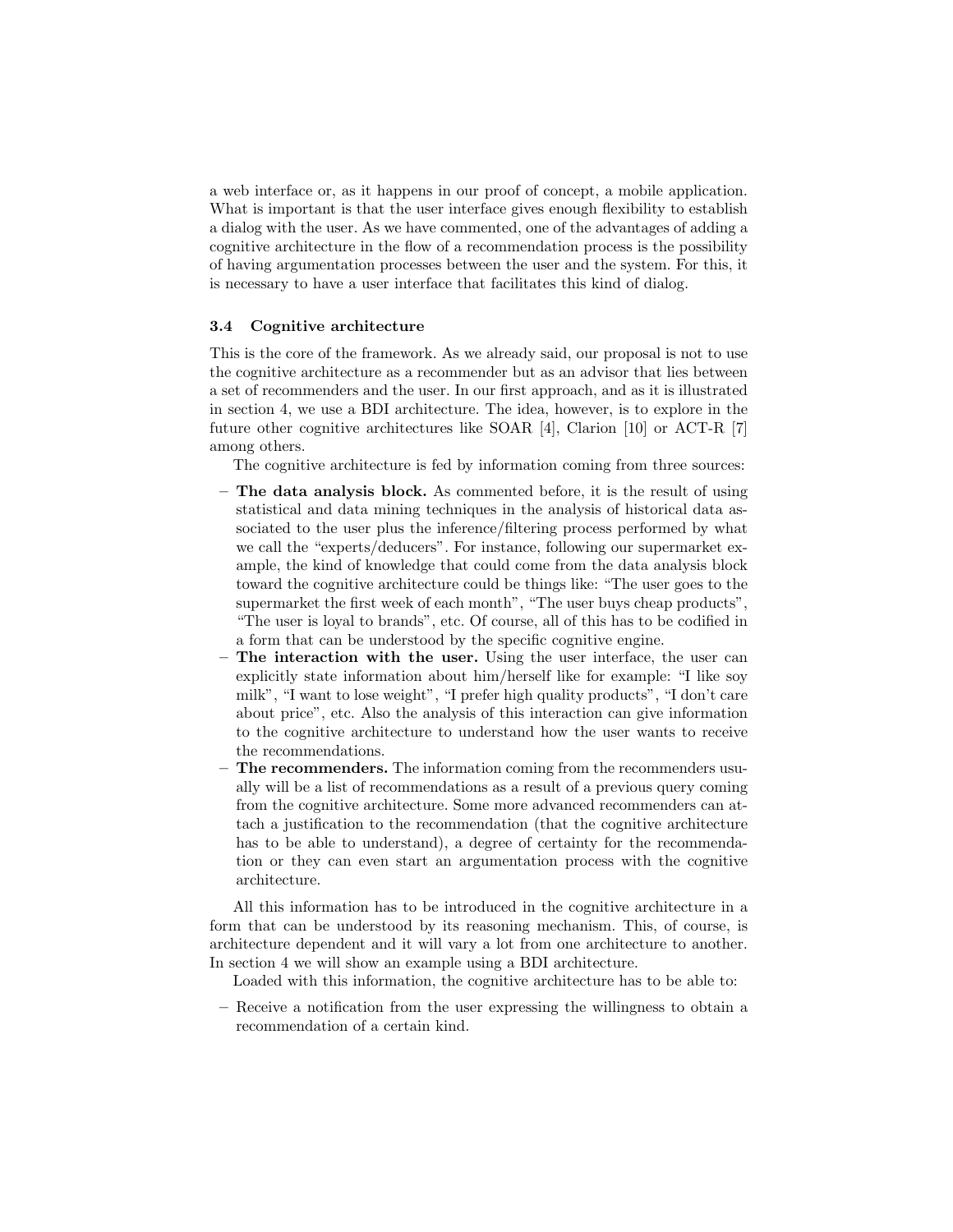a web interface or, as it happens in our proof of concept, a mobile application. What is important is that the user interface gives enough flexibility to establish a dialog with the user. As we have commented, one of the advantages of adding a cognitive architecture in the flow of a recommendation process is the possibility of having argumentation processes between the user and the system. For this, it is necessary to have a user interface that facilitates this kind of dialog.

### 3.4 Cognitive architecture

This is the core of the framework. As we already said, our proposal is not to use the cognitive architecture as a recommender but as an advisor that lies between a set of recommenders and the user. In our first approach, and as it is illustrated in section 4, we use a BDI architecture. The idea, however, is to explore in the future other cognitive architectures like SOAR [4], Clarion [10] or ACT-R [7] among others.

The cognitive architecture is fed by information coming from three sources:

- $-$  The data analysis block. As commented before, it is the result of using statistical and data mining techniques in the analysis of historical data associated to the user plus the inference/filtering process performed by what we call the "experts/deducers". For instance, following our supermarket example, the kind of knowledge that could come from the data analysis block toward the cognitive architecture could be things like: "The user goes to the supermarket the first week of each month", "The user buys cheap products", "The user is loyal to brands", etc. Of course, all of this has to be codified in a form that can be understood by the specific cognitive engine.
- The interaction with the user. Using the user interface, the user can explicitly state information about him/herself like for example: "I like soy milk", "I want to lose weight", "I prefer high quality products", "I don't care about price", etc. Also the analysis of this interaction can give information to the cognitive architecture to understand how the user wants to receive the recommendations.
- The recommenders. The information coming from the recommenders usually will be a list of recommendations as a result of a previous query coming from the cognitive architecture. Some more advanced recommenders can attach a justification to the recommendation (that the cognitive architecture has to be able to understand), a degree of certainty for the recommendation or they can even start an argumentation process with the cognitive architecture.

All this information has to be introduced in the cognitive architecture in a form that can be understood by its reasoning mechanism. This, of course, is architecture dependent and it will vary a lot from one architecture to another. In section 4 we will show an example using a BDI architecture.

Loaded with this information, the cognitive architecture has to be able to:

– Receive a notification from the user expressing the willingness to obtain a recommendation of a certain kind.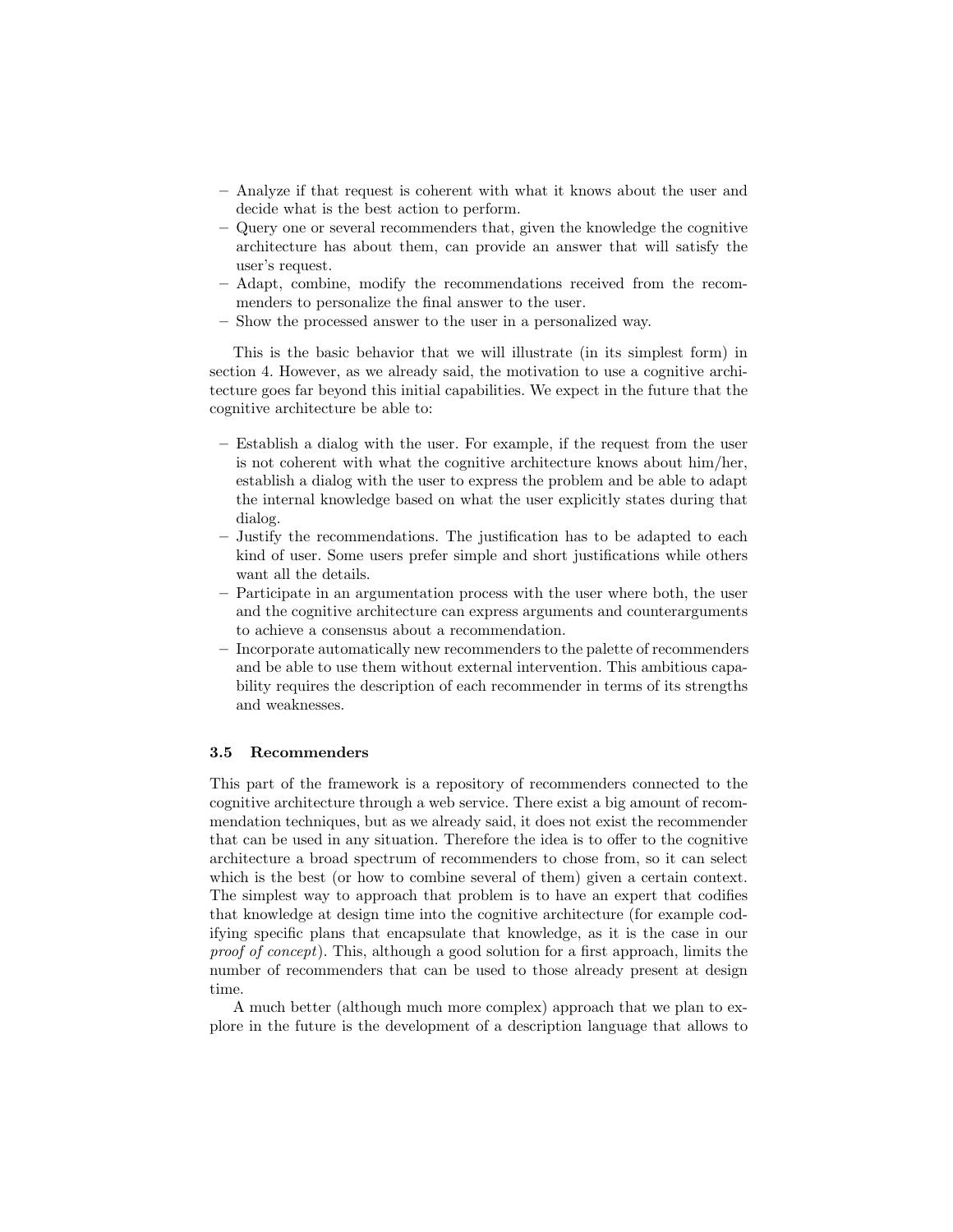- Analyze if that request is coherent with what it knows about the user and decide what is the best action to perform.
- Query one or several recommenders that, given the knowledge the cognitive architecture has about them, can provide an answer that will satisfy the user's request.
- Adapt, combine, modify the recommendations received from the recommenders to personalize the final answer to the user.
- Show the processed answer to the user in a personalized way.

This is the basic behavior that we will illustrate (in its simplest form) in section 4. However, as we already said, the motivation to use a cognitive architecture goes far beyond this initial capabilities. We expect in the future that the cognitive architecture be able to:

- Establish a dialog with the user. For example, if the request from the user is not coherent with what the cognitive architecture knows about him/her, establish a dialog with the user to express the problem and be able to adapt the internal knowledge based on what the user explicitly states during that dialog.
- Justify the recommendations. The justification has to be adapted to each kind of user. Some users prefer simple and short justifications while others want all the details.
- Participate in an argumentation process with the user where both, the user and the cognitive architecture can express arguments and counterarguments to achieve a consensus about a recommendation.
- Incorporate automatically new recommenders to the palette of recommenders and be able to use them without external intervention. This ambitious capability requires the description of each recommender in terms of its strengths and weaknesses.

# 3.5 Recommenders

This part of the framework is a repository of recommenders connected to the cognitive architecture through a web service. There exist a big amount of recommendation techniques, but as we already said, it does not exist the recommender that can be used in any situation. Therefore the idea is to offer to the cognitive architecture a broad spectrum of recommenders to chose from, so it can select which is the best (or how to combine several of them) given a certain context. The simplest way to approach that problem is to have an expert that codifies that knowledge at design time into the cognitive architecture (for example codifying specific plans that encapsulate that knowledge, as it is the case in our proof of concept). This, although a good solution for a first approach, limits the number of recommenders that can be used to those already present at design time.

A much better (although much more complex) approach that we plan to explore in the future is the development of a description language that allows to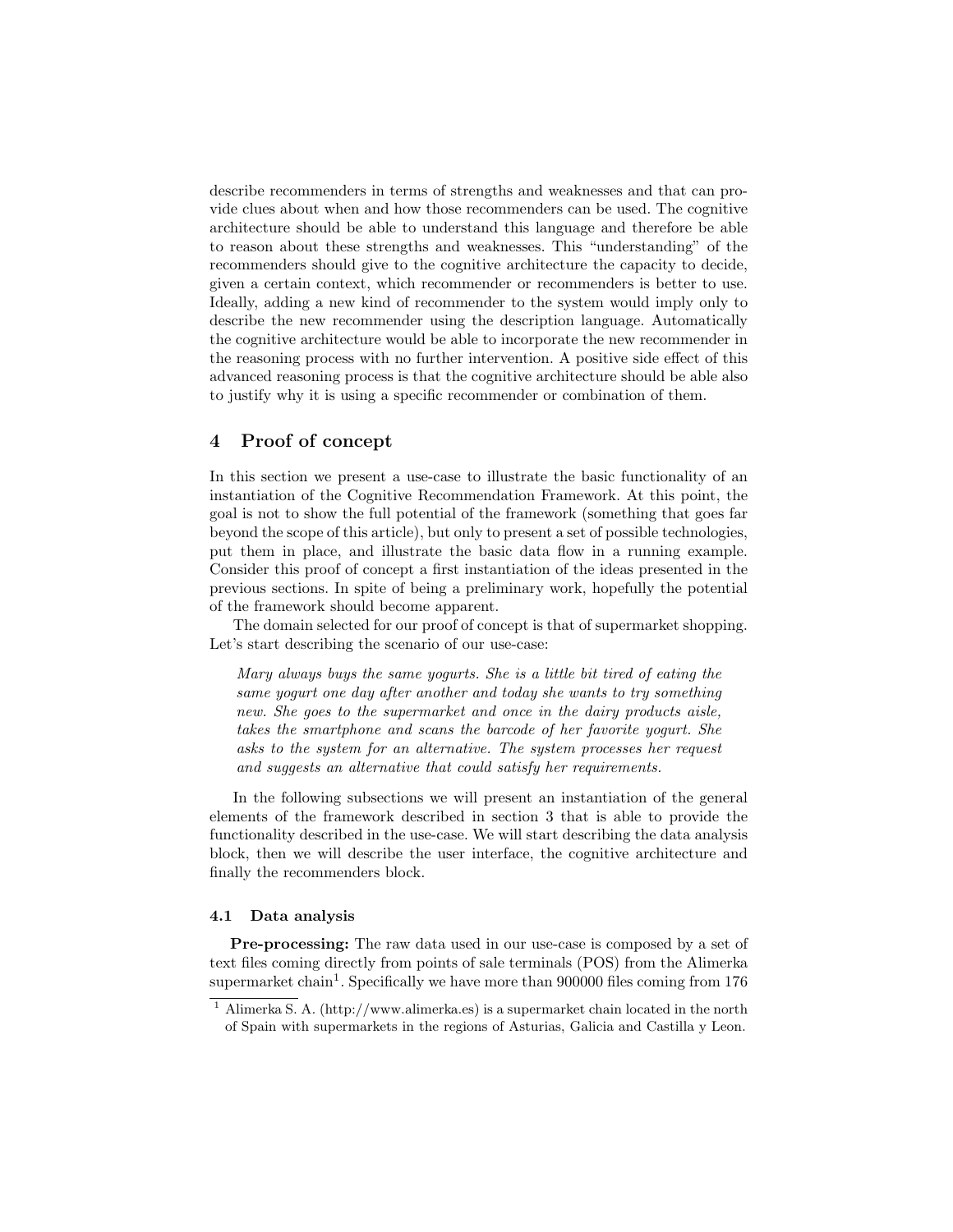describe recommenders in terms of strengths and weaknesses and that can provide clues about when and how those recommenders can be used. The cognitive architecture should be able to understand this language and therefore be able to reason about these strengths and weaknesses. This "understanding" of the recommenders should give to the cognitive architecture the capacity to decide, given a certain context, which recommender or recommenders is better to use. Ideally, adding a new kind of recommender to the system would imply only to describe the new recommender using the description language. Automatically the cognitive architecture would be able to incorporate the new recommender in the reasoning process with no further intervention. A positive side effect of this advanced reasoning process is that the cognitive architecture should be able also to justify why it is using a specific recommender or combination of them.

# 4 Proof of concept

In this section we present a use-case to illustrate the basic functionality of an instantiation of the Cognitive Recommendation Framework. At this point, the goal is not to show the full potential of the framework (something that goes far beyond the scope of this article), but only to present a set of possible technologies, put them in place, and illustrate the basic data flow in a running example. Consider this proof of concept a first instantiation of the ideas presented in the previous sections. In spite of being a preliminary work, hopefully the potential of the framework should become apparent.

The domain selected for our proof of concept is that of supermarket shopping. Let's start describing the scenario of our use-case:

Mary always buys the same yogurts. She is a little bit tired of eating the same yogurt one day after another and today she wants to try something new. She goes to the supermarket and once in the dairy products aisle, takes the smartphone and scans the barcode of her favorite yogurt. She asks to the system for an alternative. The system processes her request and suggests an alternative that could satisfy her requirements.

In the following subsections we will present an instantiation of the general elements of the framework described in section 3 that is able to provide the functionality described in the use-case. We will start describing the data analysis block, then we will describe the user interface, the cognitive architecture and finally the recommenders block.

## 4.1 Data analysis

Pre-processing: The raw data used in our use-case is composed by a set of text files coming directly from points of sale terminals (POS) from the Alimerka supermarket chain<sup>1</sup>. Specifically we have more than 900000 files coming from 176

<sup>&</sup>lt;sup>1</sup> Alimerka S. A. (http://www.alimerka.es) is a supermarket chain located in the north of Spain with supermarkets in the regions of Asturias, Galicia and Castilla y Leon.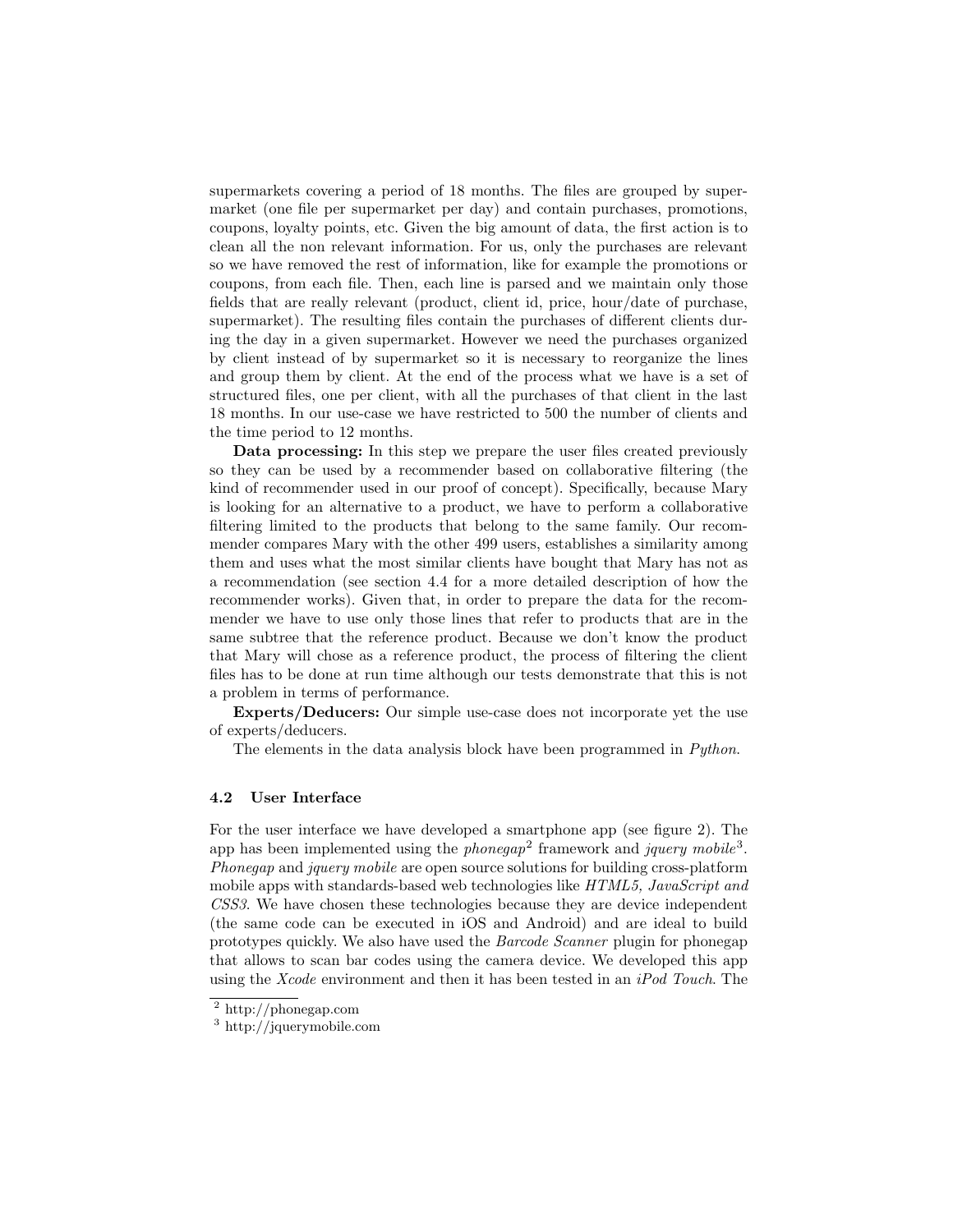supermarkets covering a period of 18 months. The files are grouped by supermarket (one file per supermarket per day) and contain purchases, promotions, coupons, loyalty points, etc. Given the big amount of data, the first action is to clean all the non relevant information. For us, only the purchases are relevant so we have removed the rest of information, like for example the promotions or coupons, from each file. Then, each line is parsed and we maintain only those fields that are really relevant (product, client id, price, hour/date of purchase, supermarket). The resulting files contain the purchases of different clients during the day in a given supermarket. However we need the purchases organized by client instead of by supermarket so it is necessary to reorganize the lines and group them by client. At the end of the process what we have is a set of structured files, one per client, with all the purchases of that client in the last 18 months. In our use-case we have restricted to 500 the number of clients and the time period to 12 months.

Data processing: In this step we prepare the user files created previously so they can be used by a recommender based on collaborative filtering (the kind of recommender used in our proof of concept). Specifically, because Mary is looking for an alternative to a product, we have to perform a collaborative filtering limited to the products that belong to the same family. Our recommender compares Mary with the other 499 users, establishes a similarity among them and uses what the most similar clients have bought that Mary has not as a recommendation (see section 4.4 for a more detailed description of how the recommender works). Given that, in order to prepare the data for the recommender we have to use only those lines that refer to products that are in the same subtree that the reference product. Because we don't know the product that Mary will chose as a reference product, the process of filtering the client files has to be done at run time although our tests demonstrate that this is not a problem in terms of performance.

Experts/Deducers: Our simple use-case does not incorporate yet the use of experts/deducers.

The elements in the data analysis block have been programmed in *Python*.

## 4.2 User Interface

For the user interface we have developed a smartphone app (see figure 2). The app has been implemented using the *phonegap*<sup>2</sup> framework and *jquery mobile*<sup>3</sup>. Phonegap and jquery mobile are open source solutions for building cross-platform mobile apps with standards-based web technologies like HTML5, JavaScript and CSS3. We have chosen these technologies because they are device independent (the same code can be executed in iOS and Android) and are ideal to build prototypes quickly. We also have used the Barcode Scanner plugin for phonegap that allows to scan bar codes using the camera device. We developed this app using the Xcode environment and then it has been tested in an iPod Touch. The

<sup>2</sup> http://phonegap.com

<sup>3</sup> http://jquerymobile.com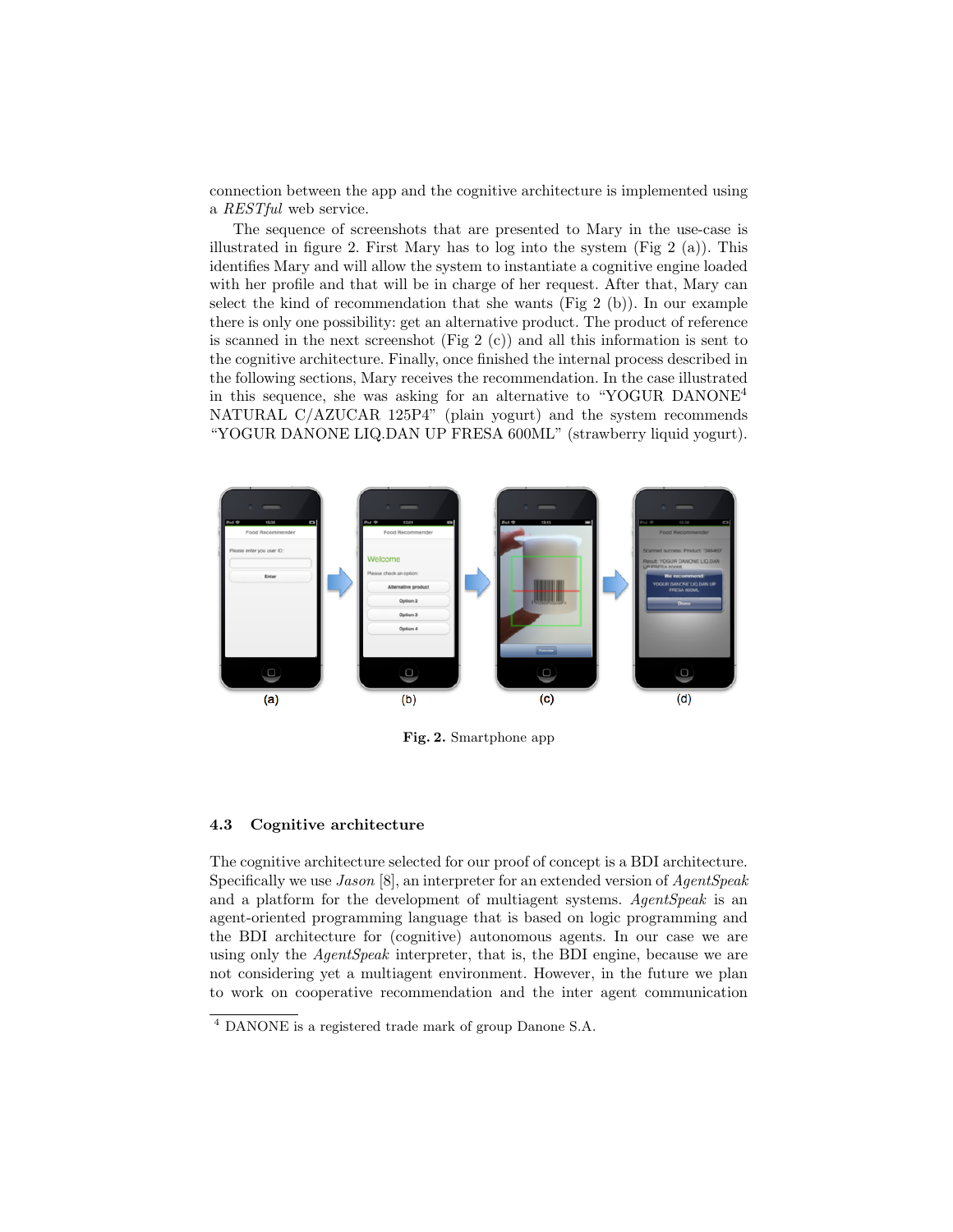connection between the app and the cognitive architecture is implemented using a RESTful web service.

The sequence of screenshots that are presented to Mary in the use-case is illustrated in figure 2. First Mary has to log into the system (Fig 2 (a)). This identifies Mary and will allow the system to instantiate a cognitive engine loaded with her profile and that will be in charge of her request. After that, Mary can select the kind of recommendation that she wants (Fig 2 (b)). In our example there is only one possibility: get an alternative product. The product of reference is scanned in the next screenshot (Fig 2  $(c)$ ) and all this information is sent to the cognitive architecture. Finally, once finished the internal process described in the following sections, Mary receives the recommendation. In the case illustrated in this sequence, she was asking for an alternative to "YOGUR DANONE<sup>4</sup> NATURAL C/AZUCAR 125P4" (plain yogurt) and the system recommends "YOGUR DANONE LIQ.DAN UP FRESA 600ML" (strawberry liquid yogurt).



Fig. 2. Smartphone app

#### 4.3 Cognitive architecture

The cognitive architecture selected for our proof of concept is a BDI architecture. Specifically we use *Jason* [8], an interpreter for an extended version of *AgentSpeak* and a platform for the development of multiagent systems. AgentSpeak is an agent-oriented programming language that is based on logic programming and the BDI architecture for (cognitive) autonomous agents. In our case we are using only the *AgentSpeak* interpreter, that is, the BDI engine, because we are not considering yet a multiagent environment. However, in the future we plan to work on cooperative recommendation and the inter agent communication

<sup>4</sup> DANONE is a registered trade mark of group Danone S.A.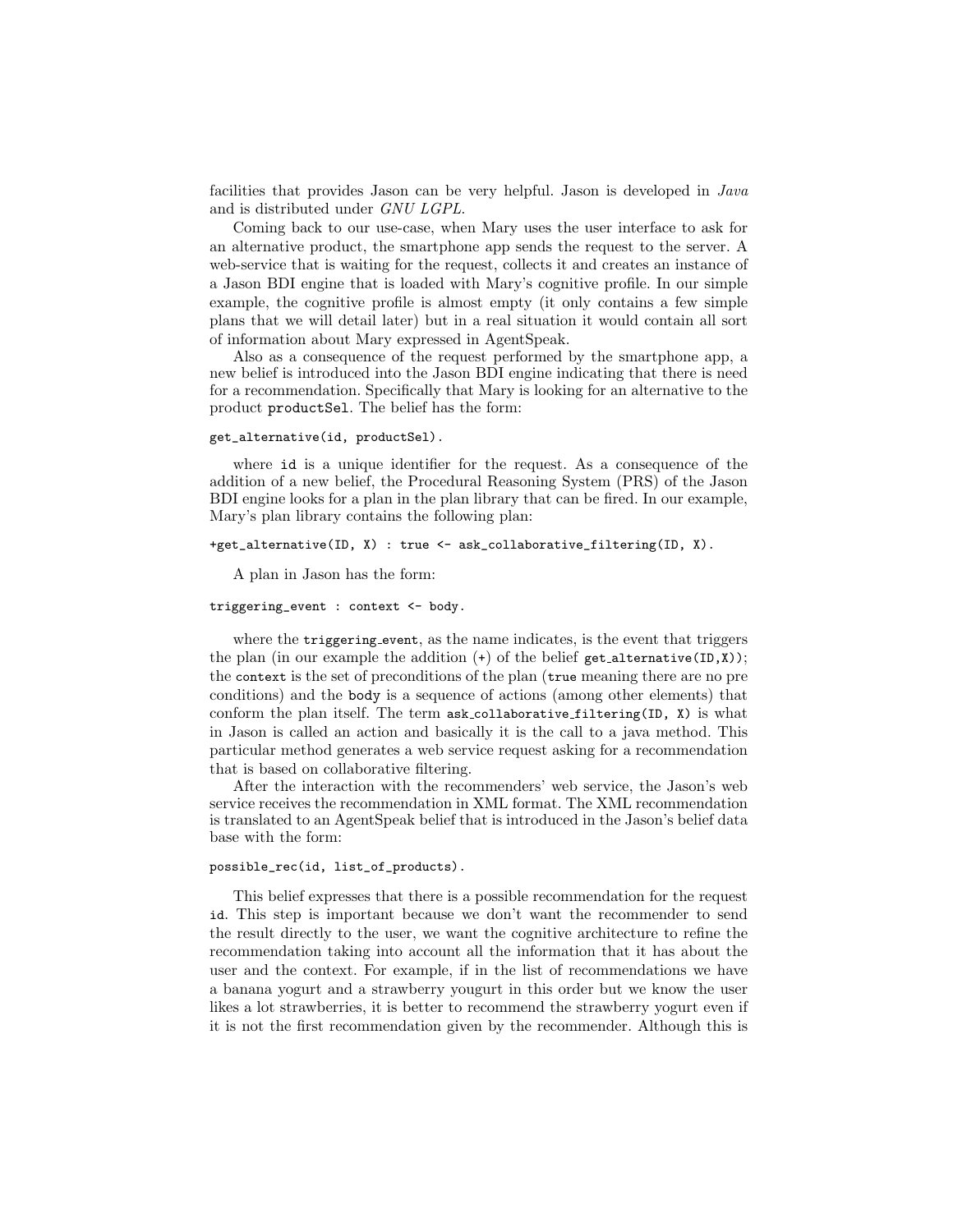facilities that provides Jason can be very helpful. Jason is developed in Java and is distributed under GNU LGPL.

Coming back to our use-case, when Mary uses the user interface to ask for an alternative product, the smartphone app sends the request to the server. A web-service that is waiting for the request, collects it and creates an instance of a Jason BDI engine that is loaded with Mary's cognitive profile. In our simple example, the cognitive profile is almost empty (it only contains a few simple plans that we will detail later) but in a real situation it would contain all sort of information about Mary expressed in AgentSpeak.

Also as a consequence of the request performed by the smartphone app, a new belief is introduced into the Jason BDI engine indicating that there is need for a recommendation. Specifically that Mary is looking for an alternative to the product productSel. The belief has the form:

### get\_alternative(id, productSel).

where id is a unique identifier for the request. As a consequence of the addition of a new belief, the Procedural Reasoning System (PRS) of the Jason BDI engine looks for a plan in the plan library that can be fired. In our example, Mary's plan library contains the following plan:

#### +get\_alternative(ID, X) : true <- ask\_collaborative\_filtering(ID, X).

A plan in Jason has the form:

#### triggering\_event : context <- body.

where the triggering event, as the name indicates, is the event that triggers the plan (in our example the addition  $(+)$  of the belief get alternative(ID,X)); the context is the set of preconditions of the plan (true meaning there are no pre conditions) and the body is a sequence of actions (among other elements) that conform the plan itself. The term ask collaborative filtering(ID, X) is what in Jason is called an action and basically it is the call to a java method. This particular method generates a web service request asking for a recommendation that is based on collaborative filtering.

After the interaction with the recommenders' web service, the Jason's web service receives the recommendation in XML format. The XML recommendation is translated to an AgentSpeak belief that is introduced in the Jason's belief data base with the form:

#### possible\_rec(id, list\_of\_products).

This belief expresses that there is a possible recommendation for the request id. This step is important because we don't want the recommender to send the result directly to the user, we want the cognitive architecture to refine the recommendation taking into account all the information that it has about the user and the context. For example, if in the list of recommendations we have a banana yogurt and a strawberry yougurt in this order but we know the user likes a lot strawberries, it is better to recommend the strawberry yogurt even if it is not the first recommendation given by the recommender. Although this is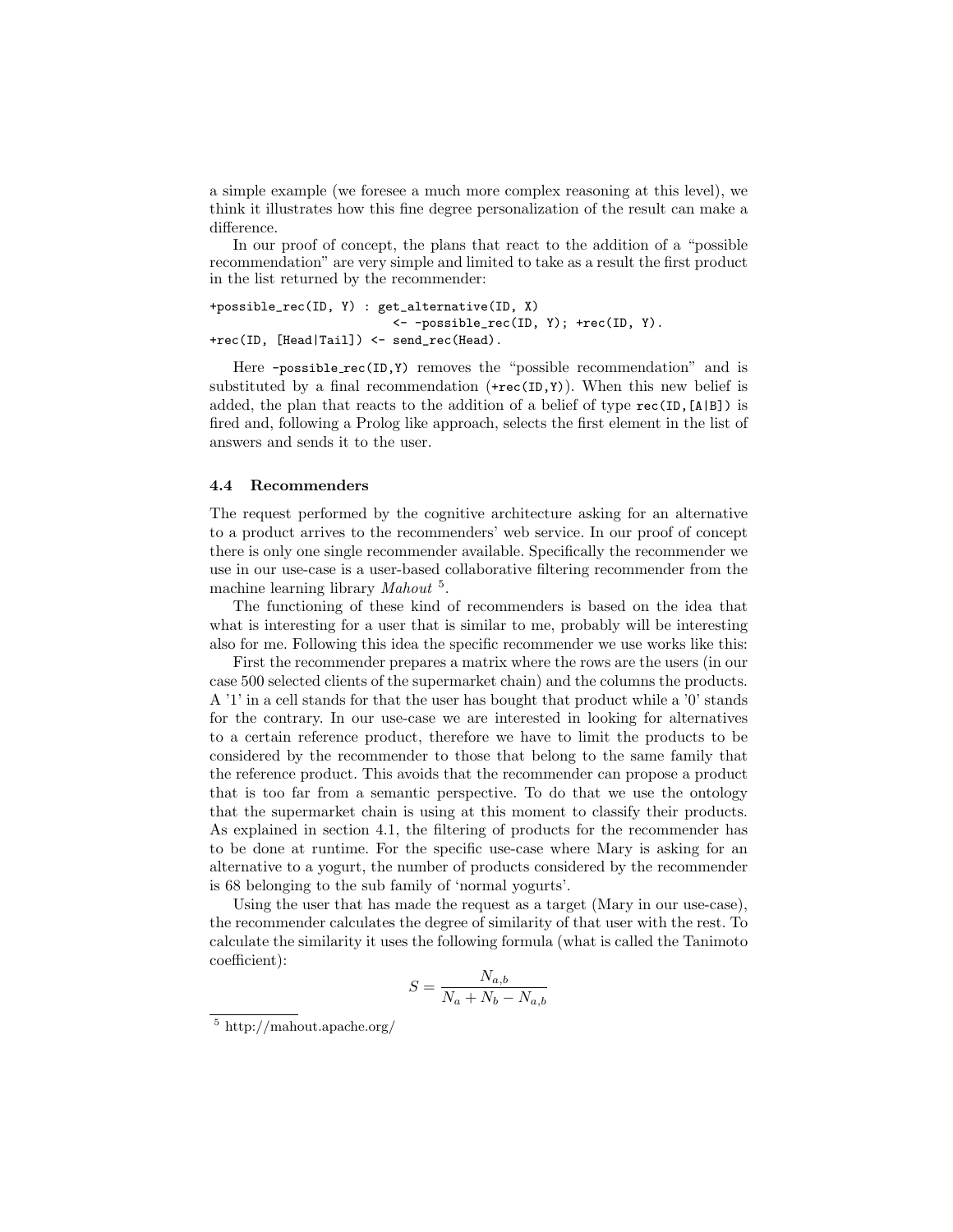a simple example (we foresee a much more complex reasoning at this level), we think it illustrates how this fine degree personalization of the result can make a difference.

In our proof of concept, the plans that react to the addition of a "possible recommendation" are very simple and limited to take as a result the first product in the list returned by the recommender:

```
+possible_rec(ID, Y) : get_alternative(ID, X)
                         <- -possible_rec(ID, Y); +rec(ID, Y).
+rec(ID, [Head|Tail]) <- send_rec(Head).
```
Here -possible\_rec(ID, Y) removes the "possible recommendation" and is substituted by a final recommendation  $(+rec(ID, Y))$ . When this new belief is added, the plan that reacts to the addition of a belief of type rec(ID,[A|B]) is fired and, following a Prolog like approach, selects the first element in the list of answers and sends it to the user.

## 4.4 Recommenders

The request performed by the cognitive architecture asking for an alternative to a product arrives to the recommenders' web service. In our proof of concept there is only one single recommender available. Specifically the recommender we use in our use-case is a user-based collaborative filtering recommender from the machine learning library Mahout<sup>5</sup>.

The functioning of these kind of recommenders is based on the idea that what is interesting for a user that is similar to me, probably will be interesting also for me. Following this idea the specific recommender we use works like this:

First the recommender prepares a matrix where the rows are the users (in our case 500 selected clients of the supermarket chain) and the columns the products. A '1' in a cell stands for that the user has bought that product while a '0' stands for the contrary. In our use-case we are interested in looking for alternatives to a certain reference product, therefore we have to limit the products to be considered by the recommender to those that belong to the same family that the reference product. This avoids that the recommender can propose a product that is too far from a semantic perspective. To do that we use the ontology that the supermarket chain is using at this moment to classify their products. As explained in section 4.1, the filtering of products for the recommender has to be done at runtime. For the specific use-case where Mary is asking for an alternative to a yogurt, the number of products considered by the recommender is 68 belonging to the sub family of 'normal yogurts'.

Using the user that has made the request as a target (Mary in our use-case), the recommender calculates the degree of similarity of that user with the rest. To calculate the similarity it uses the following formula (what is called the Tanimoto coefficient):

$$
S = \frac{N_{a,b}}{N_a + N_b - N_{a,b}}
$$

<sup>5</sup> http://mahout.apache.org/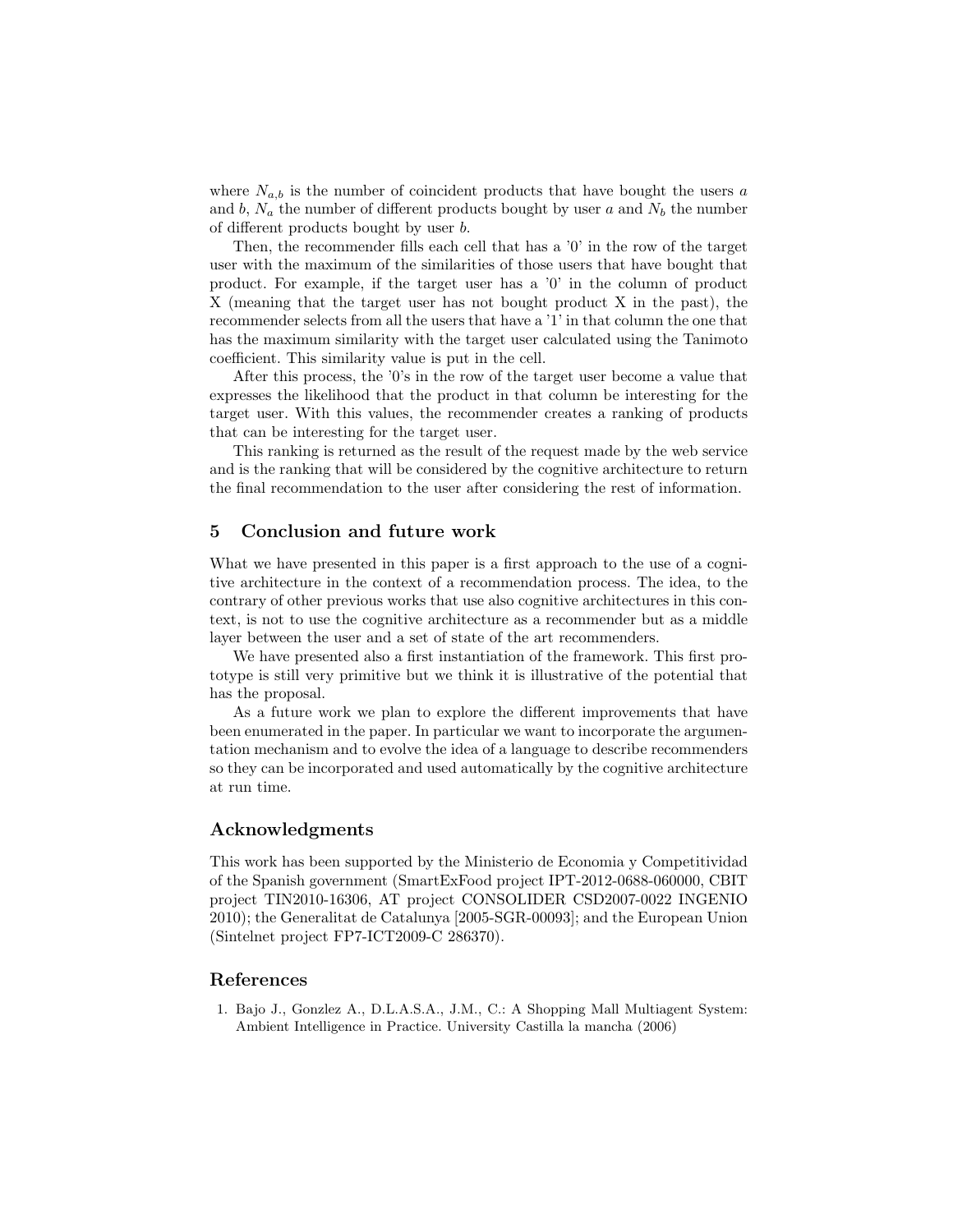where  $N_{a,b}$  is the number of coincident products that have bought the users a and b,  $N_a$  the number of different products bought by user a and  $N_b$  the number of different products bought by user b.

Then, the recommender fills each cell that has a '0' in the row of the target user with the maximum of the similarities of those users that have bought that product. For example, if the target user has a '0' in the column of product X (meaning that the target user has not bought product X in the past), the recommender selects from all the users that have a '1' in that column the one that has the maximum similarity with the target user calculated using the Tanimoto coefficient. This similarity value is put in the cell.

After this process, the '0's in the row of the target user become a value that expresses the likelihood that the product in that column be interesting for the target user. With this values, the recommender creates a ranking of products that can be interesting for the target user.

This ranking is returned as the result of the request made by the web service and is the ranking that will be considered by the cognitive architecture to return the final recommendation to the user after considering the rest of information.

# 5 Conclusion and future work

What we have presented in this paper is a first approach to the use of a cognitive architecture in the context of a recommendation process. The idea, to the contrary of other previous works that use also cognitive architectures in this context, is not to use the cognitive architecture as a recommender but as a middle layer between the user and a set of state of the art recommenders.

We have presented also a first instantiation of the framework. This first prototype is still very primitive but we think it is illustrative of the potential that has the proposal.

As a future work we plan to explore the different improvements that have been enumerated in the paper. In particular we want to incorporate the argumentation mechanism and to evolve the idea of a language to describe recommenders so they can be incorporated and used automatically by the cognitive architecture at run time.

# Acknowledgments

This work has been supported by the Ministerio de Economia y Competitividad of the Spanish government (SmartExFood project IPT-2012-0688-060000, CBIT project TIN2010-16306, AT project CONSOLIDER CSD2007-0022 INGENIO 2010); the Generalitat de Catalunya [2005-SGR-00093]; and the European Union (Sintelnet project FP7-ICT2009-C 286370).

## References

1. Bajo J., Gonzlez A., D.L.A.S.A., J.M., C.: A Shopping Mall Multiagent System: Ambient Intelligence in Practice. University Castilla la mancha (2006)